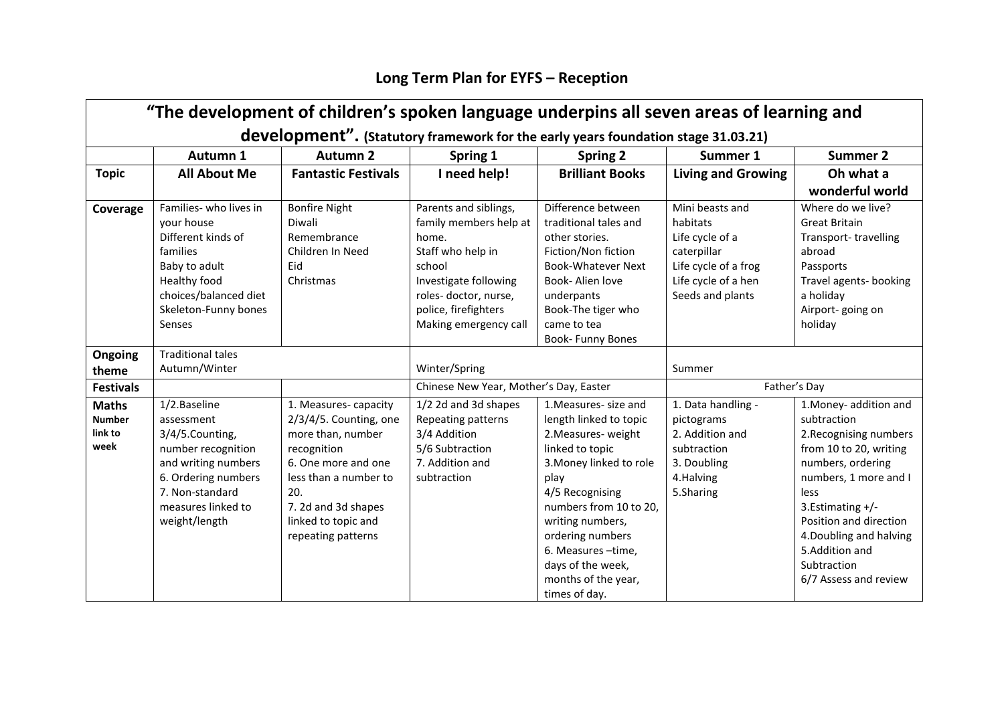## **Long Term Plan for EYFS – Reception**

| "The development of children's spoken language underpins all seven areas of learning and |                          |                            |                                        |                           |                           |                         |  |  |  |  |  |
|------------------------------------------------------------------------------------------|--------------------------|----------------------------|----------------------------------------|---------------------------|---------------------------|-------------------------|--|--|--|--|--|
| development". (Statutory framework for the early years foundation stage 31.03.21)        |                          |                            |                                        |                           |                           |                         |  |  |  |  |  |
|                                                                                          | Autumn 1                 | <b>Autumn 2</b>            | Spring 1                               | <b>Spring 2</b>           | Summer 1                  | <b>Summer 2</b>         |  |  |  |  |  |
| <b>Topic</b>                                                                             | <b>All About Me</b>      | <b>Fantastic Festivals</b> | I need help!                           | <b>Brilliant Books</b>    | <b>Living and Growing</b> | Oh what a               |  |  |  |  |  |
|                                                                                          |                          |                            |                                        |                           |                           | wonderful world         |  |  |  |  |  |
| Coverage                                                                                 | Families- who lives in   | <b>Bonfire Night</b>       | Parents and siblings,                  | Difference between        | Mini beasts and           | Where do we live?       |  |  |  |  |  |
|                                                                                          | your house               | Diwali                     | family members help at                 | traditional tales and     | habitats                  | <b>Great Britain</b>    |  |  |  |  |  |
|                                                                                          | Different kinds of       | Remembrance                | home.                                  | other stories.            | Life cycle of a           | Transport-travelling    |  |  |  |  |  |
|                                                                                          | families                 | Children In Need           | Staff who help in                      | Fiction/Non fiction       | caterpillar               | abroad                  |  |  |  |  |  |
|                                                                                          | Baby to adult            | Eid                        | school                                 | <b>Book-Whatever Next</b> | Life cycle of a frog      | Passports               |  |  |  |  |  |
|                                                                                          | Healthy food             | Christmas                  | Investigate following                  | Book- Alien love          | Life cycle of a hen       | Travel agents- booking  |  |  |  |  |  |
|                                                                                          | choices/balanced diet    |                            | roles-doctor, nurse,                   | underpants                | Seeds and plants          | a holiday               |  |  |  |  |  |
|                                                                                          | Skeleton-Funny bones     |                            | police, firefighters                   | Book-The tiger who        |                           | Airport-going on        |  |  |  |  |  |
|                                                                                          | Senses                   |                            | Making emergency call                  | came to tea               |                           | holiday                 |  |  |  |  |  |
|                                                                                          |                          |                            |                                        | Book- Funny Bones         |                           |                         |  |  |  |  |  |
| Ongoing                                                                                  | <b>Traditional tales</b> |                            |                                        |                           |                           |                         |  |  |  |  |  |
| theme                                                                                    | Autumn/Winter            |                            | Winter/Spring                          |                           |                           |                         |  |  |  |  |  |
| <b>Festivals</b>                                                                         |                          |                            | Chinese New Year, Mother's Day, Easter |                           | Father's Day              |                         |  |  |  |  |  |
| <b>Maths</b>                                                                             | 1/2.Baseline             | 1. Measures-capacity       | 1/2 2d and 3d shapes                   | 1. Measures- size and     | 1. Data handling -        | 1. Money- addition and  |  |  |  |  |  |
| <b>Number</b>                                                                            | assessment               | 2/3/4/5. Counting, one     | Repeating patterns                     | length linked to topic    | pictograms                | subtraction             |  |  |  |  |  |
| link to                                                                                  | 3/4/5.Counting,          | more than, number          | 3/4 Addition                           | 2. Measures - weight      | 2. Addition and           | 2. Recognising numbers  |  |  |  |  |  |
| week                                                                                     | number recognition       | recognition                | 5/6 Subtraction                        | linked to topic           | subtraction               | from 10 to 20, writing  |  |  |  |  |  |
|                                                                                          | and writing numbers      | 6. One more and one        | 7. Addition and                        | 3. Money linked to role   | 3. Doubling               | numbers, ordering       |  |  |  |  |  |
|                                                                                          | 6. Ordering numbers      | less than a number to      | subtraction                            | play                      | 4.Halving                 | numbers, 1 more and I   |  |  |  |  |  |
|                                                                                          | 7. Non-standard          | 20.                        |                                        | 4/5 Recognising           | 5.Sharing                 | less                    |  |  |  |  |  |
|                                                                                          | measures linked to       | 7. 2d and 3d shapes        |                                        | numbers from 10 to 20,    |                           | 3.Estimating +/-        |  |  |  |  |  |
|                                                                                          | weight/length            | linked to topic and        |                                        | writing numbers,          |                           | Position and direction  |  |  |  |  |  |
|                                                                                          |                          | repeating patterns         |                                        | ordering numbers          |                           | 4. Doubling and halving |  |  |  |  |  |
|                                                                                          |                          |                            |                                        | 6. Measures -time,        |                           | 5.Addition and          |  |  |  |  |  |
|                                                                                          |                          |                            |                                        | days of the week,         |                           | Subtraction             |  |  |  |  |  |
|                                                                                          |                          |                            |                                        | months of the year,       |                           | 6/7 Assess and review   |  |  |  |  |  |
|                                                                                          |                          |                            |                                        | times of day.             |                           |                         |  |  |  |  |  |